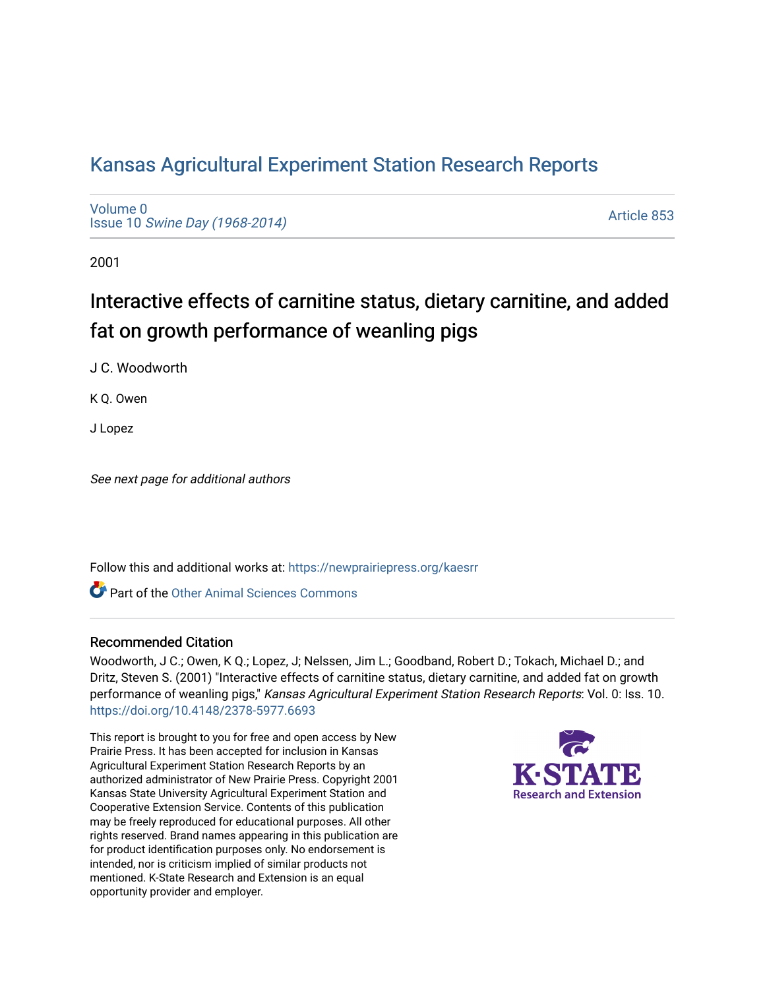## [Kansas Agricultural Experiment Station Research Reports](https://newprairiepress.org/kaesrr)

[Volume 0](https://newprairiepress.org/kaesrr/vol0) Issue 10 [Swine Day \(1968-2014\)](https://newprairiepress.org/kaesrr/vol0/iss10)

[Article 853](https://newprairiepress.org/kaesrr/vol0/iss10/853) 

2001

# Interactive effects of carnitine status, dietary carnitine, and added fat on growth performance of weanling pigs

J C. Woodworth

K Q. Owen

J Lopez

See next page for additional authors

Follow this and additional works at: [https://newprairiepress.org/kaesrr](https://newprairiepress.org/kaesrr?utm_source=newprairiepress.org%2Fkaesrr%2Fvol0%2Fiss10%2F853&utm_medium=PDF&utm_campaign=PDFCoverPages) 

**C** Part of the [Other Animal Sciences Commons](http://network.bepress.com/hgg/discipline/82?utm_source=newprairiepress.org%2Fkaesrr%2Fvol0%2Fiss10%2F853&utm_medium=PDF&utm_campaign=PDFCoverPages)

#### Recommended Citation

Woodworth, J C.; Owen, K Q.; Lopez, J; Nelssen, Jim L.; Goodband, Robert D.; Tokach, Michael D.; and Dritz, Steven S. (2001) "Interactive effects of carnitine status, dietary carnitine, and added fat on growth performance of weanling pigs," Kansas Agricultural Experiment Station Research Reports: Vol. 0: Iss. 10. <https://doi.org/10.4148/2378-5977.6693>

This report is brought to you for free and open access by New Prairie Press. It has been accepted for inclusion in Kansas Agricultural Experiment Station Research Reports by an authorized administrator of New Prairie Press. Copyright 2001 Kansas State University Agricultural Experiment Station and Cooperative Extension Service. Contents of this publication may be freely reproduced for educational purposes. All other rights reserved. Brand names appearing in this publication are for product identification purposes only. No endorsement is intended, nor is criticism implied of similar products not mentioned. K-State Research and Extension is an equal opportunity provider and employer.

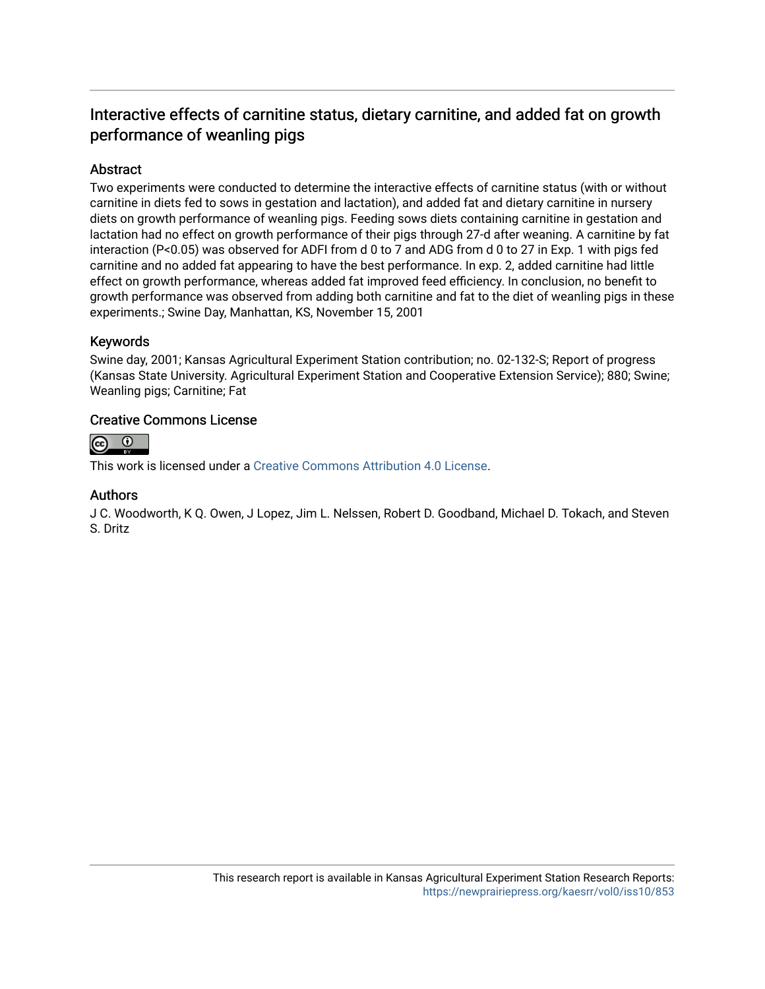### Interactive effects of carnitine status, dietary carnitine, and added fat on growth performance of weanling pigs

#### Abstract

Two experiments were conducted to determine the interactive effects of carnitine status (with or without carnitine in diets fed to sows in gestation and lactation), and added fat and dietary carnitine in nursery diets on growth performance of weanling pigs. Feeding sows diets containing carnitine in gestation and lactation had no effect on growth performance of their pigs through 27-d after weaning. A carnitine by fat interaction (P<0.05) was observed for ADFI from d 0 to 7 and ADG from d 0 to 27 in Exp. 1 with pigs fed carnitine and no added fat appearing to have the best performance. In exp. 2, added carnitine had little effect on growth performance, whereas added fat improved feed efficiency. In conclusion, no benefit to growth performance was observed from adding both carnitine and fat to the diet of weanling pigs in these experiments.; Swine Day, Manhattan, KS, November 15, 2001

#### Keywords

Swine day, 2001; Kansas Agricultural Experiment Station contribution; no. 02-132-S; Report of progress (Kansas State University. Agricultural Experiment Station and Cooperative Extension Service); 880; Swine; Weanling pigs; Carnitine; Fat

#### Creative Commons License



This work is licensed under a [Creative Commons Attribution 4.0 License](https://creativecommons.org/licenses/by/4.0/).

#### Authors

J C. Woodworth, K Q. Owen, J Lopez, Jim L. Nelssen, Robert D. Goodband, Michael D. Tokach, and Steven S. Dritz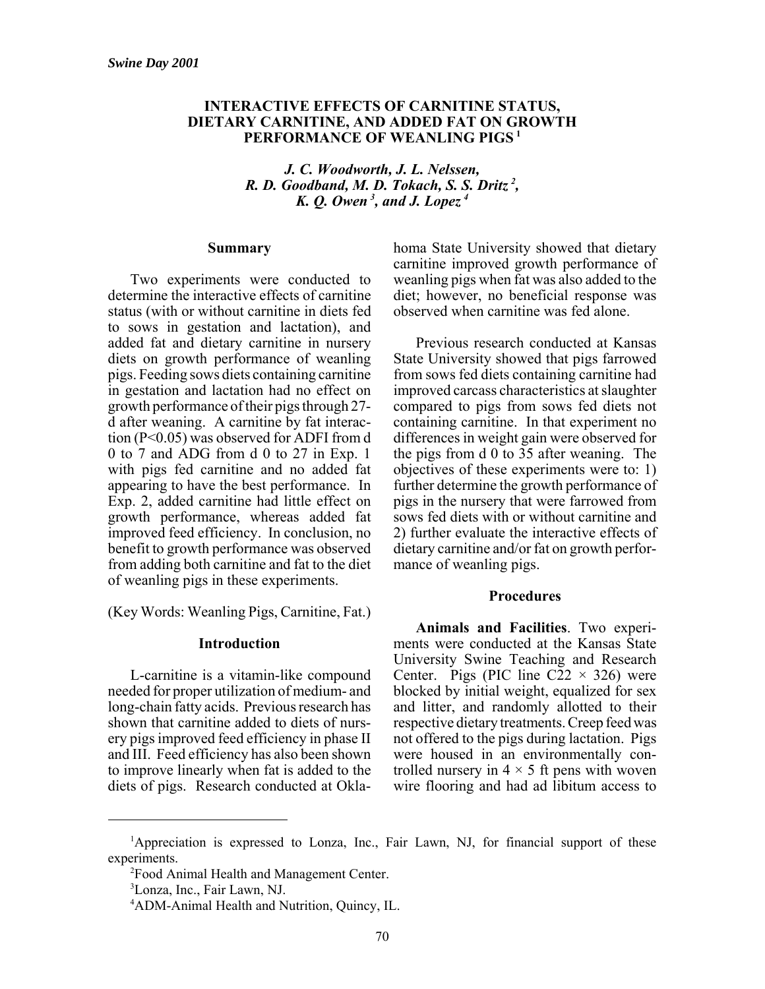#### **INTERACTIVE EFFECTS OF CARNITINE STATUS, DIETARY CARNITINE, AND ADDED FAT ON GROWTH PERFORMANCE OF WEANLING PIGS <sup>1</sup>**

*J. C. Woodworth, J. L. Nelssen, R. D. Goodband, M. D. Tokach, S. S. Dritz <sup>2</sup> , K. Q. Owen <sup>3</sup> , and J. Lopez <sup>4</sup>*

#### **Summary**

Two experiments were conducted to determine the interactive effects of carnitine status (with or without carnitine in diets fed to sows in gestation and lactation), and added fat and dietary carnitine in nursery diets on growth performance of weanling pigs. Feeding sows diets containing carnitine in gestation and lactation had no effect on growth performance of their pigs through 27 d after weaning. A carnitine by fat interaction (P<0.05) was observed for ADFI from d 0 to 7 and ADG from d 0 to 27 in Exp. 1 with pigs fed carnitine and no added fat appearing to have the best performance. In Exp. 2, added carnitine had little effect on growth performance, whereas added fat improved feed efficiency. In conclusion, no benefit to growth performance was observed from adding both carnitine and fat to the diet of weanling pigs in these experiments.

(Key Words: Weanling Pigs, Carnitine, Fat.)

#### **Introduction**

L-carnitine is a vitamin-like compound needed for proper utilization of medium- and long-chain fatty acids. Previous research has shown that carnitine added to diets of nursery pigs improved feed efficiency in phase II and III. Feed efficiency has also been shown to improve linearly when fat is added to the diets of pigs. Research conducted at Oklahoma State University showed that dietary carnitine improved growth performance of weanling pigs when fat was also added to the diet; however, no beneficial response was observed when carnitine was fed alone.

Previous research conducted at Kansas State University showed that pigs farrowed from sows fed diets containing carnitine had improved carcass characteristics at slaughter compared to pigs from sows fed diets not containing carnitine. In that experiment no differences in weight gain were observed for the pigs from d 0 to 35 after weaning. The objectives of these experiments were to: 1) further determine the growth performance of pigs in the nursery that were farrowed from sows fed diets with or without carnitine and 2) further evaluate the interactive effects of dietary carnitine and/or fat on growth performance of weanling pigs.

#### **Procedures**

**Animals and Facilities**. Two experiments were conducted at the Kansas State University Swine Teaching and Research Center. Pigs (PIC line C22  $\times$  326) were blocked by initial weight, equalized for sex and litter, and randomly allotted to their respective dietary treatments. Creep feed was not offered to the pigs during lactation. Pigs were housed in an environmentally controlled nursery in  $4 \times 5$  ft pens with woven wire flooring and had ad libitum access to

<sup>&</sup>lt;sup>1</sup>Appreciation is expressed to Lonza, Inc., Fair Lawn, NJ, for financial support of these experiments.

<sup>&</sup>lt;sup>2</sup> Food Animal Health and Management Center.

<sup>3</sup> Lonza, Inc., Fair Lawn, NJ.

<sup>4</sup> ADM-Animal Health and Nutrition, Quincy, IL.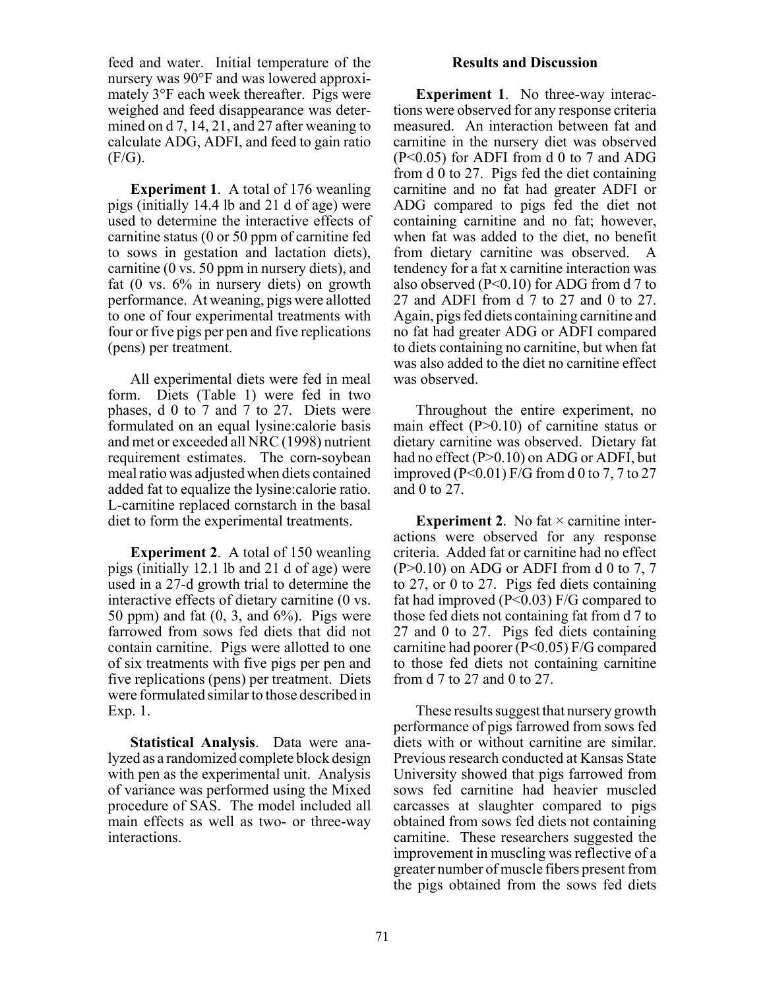feed and water. Initial temperature of the nursery was 90°F and was lowered approximately 3°F each week thereafter. Pigs were weighed and feed disappearance was determined on d 7, 14, 21, and 27 after weaning to calculate ADG, ADFI, and feed to gain ratio  $(F/G)$ .

**Experiment 1**. A total of 176 weanling pigs (initially 14.4 lb and 21 d of age) were used to determine the interactive effects of carnitine status (0 or 50 ppm of carnitine fed to sows in gestation and lactation diets), carnitine (0 vs. 50 ppm in nursery diets), and fat (0 vs. 6% in nursery diets) on growth performance. At weaning, pigs were allotted to one of four experimental treatments with four or five pigs per pen and five replications (pens) per treatment.

All experimental diets were fed in meal form. Diets (Table 1) were fed in two phases, d 0 to 7 and 7 to 27. Diets were formulated on an equal lysine:calorie basis and met or exceeded all NRC (1998) nutrient requirement estimates. The corn-soybean meal ratio was adjusted when diets contained added fat to equalize the lysine:calorie ratio. L-carnitine replaced cornstarch in the basal diet to form the experimental treatments.

**Experiment 2**. A total of 150 weanling pigs (initially 12.1 lb and 21 d of age) were used in a 27-d growth trial to determine the interactive effects of dietary carnitine (0 vs. 50 ppm) and fat  $(0, 3,$  and  $6\%)$ . Pigs were farrowed from sows fed diets that did not contain carnitine. Pigs were allotted to one of six treatments with five pigs per pen and five replications (pens) per treatment. Diets were formulated similar to those described in Exp. 1.

**Statistical Analysis**. Data were analyzed as a randomized complete block design with pen as the experimental unit. Analysis of variance was performed using the Mixed procedure of SAS. The model included all main effects as well as two- or three-way interactions.

#### **Results and Discussion**

**Experiment 1**. No three-way interactions were observed for any response criteria measured. An interaction between fat and carnitine in the nursery diet was observed (P<0.05) for ADFI from d 0 to 7 and ADG from d 0 to 27. Pigs fed the diet containing carnitine and no fat had greater ADFI or ADG compared to pigs fed the diet not containing carnitine and no fat; however, when fat was added to the diet, no benefit from dietary carnitine was observed. A tendency for a fat x carnitine interaction was also observed (P<0.10) for ADG from d 7 to 27 and ADFI from d 7 to 27 and 0 to 27. Again, pigs fed diets containing carnitine and no fat had greater ADG or ADFI compared to diets containing no carnitine, but when fat was also added to the diet no carnitine effect was observed.

Throughout the entire experiment, no main effect (P>0.10) of carnitine status or dietary carnitine was observed. Dietary fat had no effect (P>0.10) on ADG or ADFI, but improved (P<0.01) F/G from d 0 to 7, 7 to 27 and 0 to 27.

**Experiment 2**. No fat  $\times$  carnitine interactions were observed for any response criteria. Added fat or carnitine had no effect  $(P>0.10)$  on ADG or ADFI from d 0 to 7, 7 to 27, or 0 to 27. Pigs fed diets containing fat had improved ( $P<0.03$ ) F/G compared to those fed diets not containing fat from d 7 to 27 and 0 to 27. Pigs fed diets containing carnitine had poorer (P<0.05) F/G compared to those fed diets not containing carnitine from d 7 to 27 and 0 to 27.

These results suggest that nursery growth performance of pigs farrowed from sows fed diets with or without carnitine are similar. Previous research conducted at Kansas State University showed that pigs farrowed from sows fed carnitine had heavier muscled carcasses at slaughter compared to pigs obtained from sows fed diets not containing carnitine. These researchers suggested the improvement in muscling was reflective of a greater number of muscle fibers present from the pigs obtained from the sows fed diets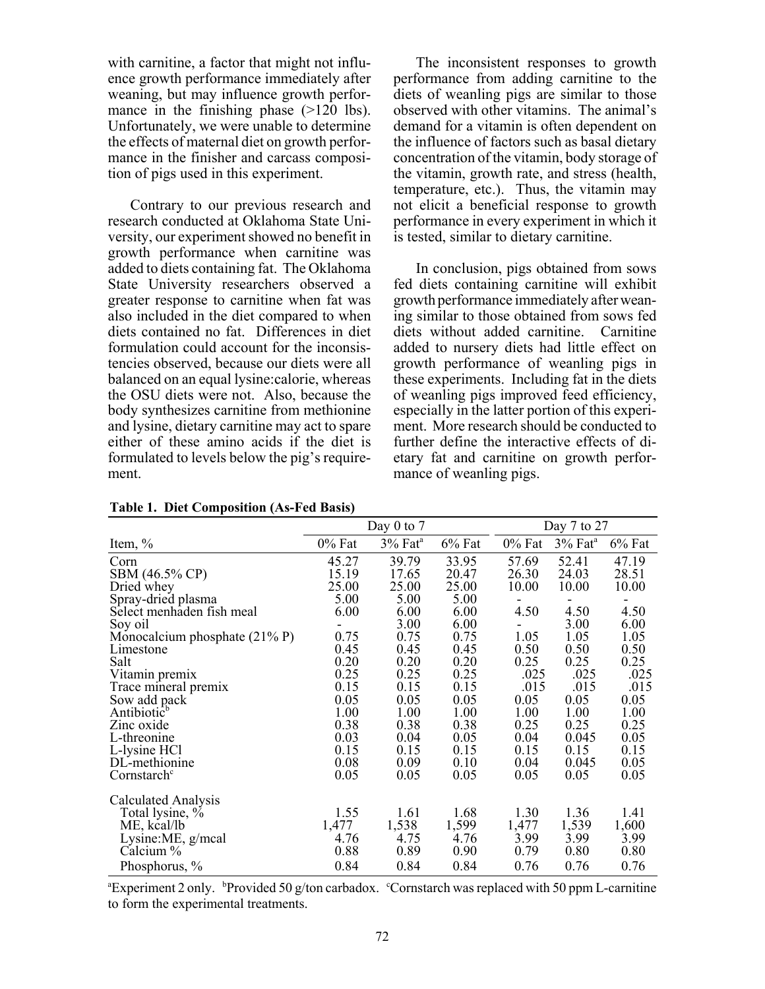with carnitine, a factor that might not influence growth performance immediately after weaning, but may influence growth performance in the finishing phase (>120 lbs). Unfortunately, we were unable to determine the effects of maternal diet on growth performance in the finisher and carcass composition of pigs used in this experiment.

Contrary to our previous research and research conducted at Oklahoma State University, our experiment showed no benefit in growth performance when carnitine was added to diets containing fat. The Oklahoma State University researchers observed a greater response to carnitine when fat was also included in the diet compared to when diets contained no fat. Differences in diet formulation could account for the inconsistencies observed, because our diets were all balanced on an equal lysine:calorie, whereas the OSU diets were not. Also, because the body synthesizes carnitine from methionine and lysine, dietary carnitine may act to spare either of these amino acids if the diet is formulated to levels below the pig's requirement.

The inconsistent responses to growth performance from adding carnitine to the diets of weanling pigs are similar to those observed with other vitamins. The animal's demand for a vitamin is often dependent on the influence of factors such as basal dietary concentration of the vitamin, body storage of the vitamin, growth rate, and stress (health, temperature, etc.). Thus, the vitamin may not elicit a beneficial response to growth performance in every experiment in which it is tested, similar to dietary carnitine.

In conclusion, pigs obtained from sows fed diets containing carnitine will exhibit growth performance immediately after weaning similar to those obtained from sows fed diets without added carnitine. Carnitine added to nursery diets had little effect on growth performance of weanling pigs in these experiments. Including fat in the diets of weanling pigs improved feed efficiency, especially in the latter portion of this experiment. More research should be conducted to further define the interactive effects of dietary fat and carnitine on growth performance of weanling pigs.

|                                  |        | Day $0$ to $7$        |        | Day 7 to 27 |                     |           |  |
|----------------------------------|--------|-----------------------|--------|-------------|---------------------|-----------|--|
| Item, $\%$                       | 0% Fat | $3%$ Fat <sup>a</sup> | 6% Fat | $0\%$ Fat   | 3% Fat <sup>a</sup> | $6\%$ Fat |  |
| Corn                             | 45.27  | 39.79                 | 33.95  | 57.69       | 52.41               | 47.19     |  |
| SBM (46.5% CP)                   | 15.19  | 17.65                 | 20.47  | 26.30       | 24.03               | 28.51     |  |
| Dried whey                       | 25.00  | 25.00                 | 25.00  | 10.00       | 10.00               | 10.00     |  |
| Spray-dried plasma               | 5.00   | 5.00                  | 5.00   | ۰           |                     |           |  |
| Select menhaden fish meal        | 6.00   | 6.00                  | 6.00   | 4.50        | 4.50                | 4.50      |  |
| Soy oil                          |        | 3.00                  | 6.00   |             | 3.00                | 6.00      |  |
| Monocalcium phosphate $(21\% P)$ | 0.75   | 0.75                  | 0.75   | 1.05        | 1.05                | 1.05      |  |
| Limestone                        | 0.45   | 0.45                  | 0.45   | 0.50        | 0.50                | 0.50      |  |
| Salt                             | 0.20   | 0.20                  | 0.20   | 0.25        | 0.25                | 0.25      |  |
| Vitamin premix                   | 0.25   | 0.25                  | 0.25   | .025        | .025                | .025      |  |
| Trace mineral premix             | 0.15   | 0.15                  | 0.15   | .015        | .015                | .015      |  |
| Sow add pack                     | 0.05   | 0.05                  | 0.05   | 0.05        | 0.05                | 0.05      |  |
| Antibiotic <sup>b</sup>          | 1.00   | 1.00                  | 1.00   | 1.00        | 1.00                | 1.00      |  |
| Zinc oxide                       | 0.38   | 0.38                  | 0.38   | 0.25        | 0.25                | 0.25      |  |
| L-threonine                      | 0.03   | 0.04                  | 0.05   | 0.04        | 0.045               | 0.05      |  |
| L-lysine HCl                     | 0.15   | 0.15                  | 0.15   | 0.15        | 0.15                | 0.15      |  |
| DL-methionine                    | 0.08   | 0.09                  | 0.10   | 0.04        | 0.045               | 0.05      |  |
| Cornstarch <sup>c</sup>          | 0.05   | 0.05                  | 0.05   | 0.05        | 0.05                | 0.05      |  |
| Calculated Analysis              |        |                       |        |             |                     |           |  |
| Total lysine, %                  | 1.55   | 1.61                  | 1.68   | 1.30        | 1.36                | 1.41      |  |
| ME, kcal/lb                      | 1,477  | 1,538                 | 1,599  | 1,477       | 1,539               | 1,600     |  |
| Lysine:ME, g/mcal                | 4.76   | 4.75                  | 4.76   | 3.99        | 3.99                | 3.99      |  |
| Calcium %                        | 0.88   | 0.89                  | 0.90   | 0.79        | 0.80                | 0.80      |  |
| Phosphorus, %                    | 0.84   | 0.84                  | 0.84   | 0.76        | 0.76                | 0.76      |  |

| <b>Table 1. Diet Composition (As-Fed Basis)</b> |  |
|-------------------------------------------------|--|
|-------------------------------------------------|--|

<sup>a</sup> Experiment 2 only. b <sup>b</sup> Provided 50 g/ton carbadox. Cornstarch was replaced with 50 ppm L-carnitine to form the experimental treatments.